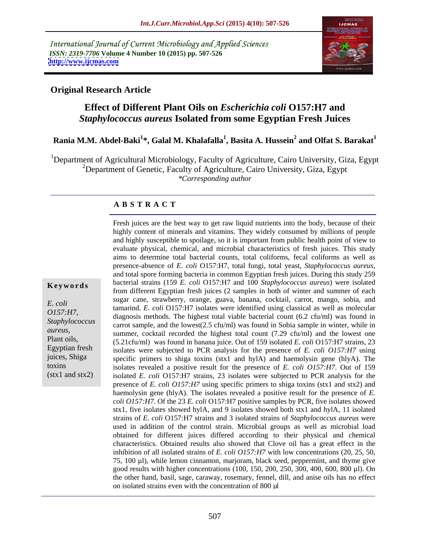International Journal of Current Microbiology and Applied Sciences *ISSN: 2319-7706* **Volume 4 Number 10 (2015) pp. 507-526 <http://www.ijcmas.com>**



### **Original Research Article**

## **Effect of Different Plant Oils on** *Escherichia coli* **O157:H7 and**  *Staphylococcus aureus* **Isolated from some Egyptian Fresh Juices**

#### **Rania M.M. Abdel-Baki<sup>1</sup> \*, Galal M. Khalafalla<sup>1</sup> , Basita A. Hussein<sup>2</sup> and Olfat S. Barakat<sup>1</sup>**

<sup>1</sup>Department of Agricultural Microbiology, Faculty of Agriculture, Cairo University, Giza, Egypt <sup>2</sup>Department of Genetic, Faculty of Agriculture, Cairo University, Giza, Egypt *\*Corresponding author*

#### **A B S T R A C T**

(stx1 and stx2)

Fresh juices are the best way to get raw liquid nutrients into the body, because of their highly content of minerals and vitamins. They widely consumed by millions of people and highly susceptible to spoilage, so it is important from public health point of view to evaluate physical, chemical, and microbial characteristics of fresh juices. This study aims to determine total bacterial counts, total coliforms, fecal coliforms as well as presence-absence of *<sup>E</sup>*. *coli* O157:H7, total fungi, total yeast, *Staphylococcus aureus*, and total spore forming bacteria in common Egyptian fresh juices. During this study 259 **Keywords** bacterial strains (159 *E. coli* O157:H7 and 100 *Staphylococcus aureus*) were isolated from different Egyptian fresh juices (2 samples in both of winter and summer of each sugar cane, strawberry, orange, guava, banana, cocktail, carrot, mango, sobia, and E. *coli*<br>
tamarind. *E. coli* O157:H7 isolates were identified using classical as well as molecular  $0157:H7$ , diagnosis methods. The highest total viable bacterial count  $(6.2 \text{ ctu/ml})$  was found in Staphylococcus carrot sample, and the lowest(2.5 cfu/ml) was found in Sobia sample in winter, while in summer, cocktail recorded the highest total count (7.29 cfu/ml) and the lowest one<br>Plant oils, (5.21 cfu/ml) was found in banana juice. Out of 159 isolated *F*, coli O157. H7 strains 23 (5.21cfu/ml) was found in banana juice. Out of 159 isolated *E*. *coli* O157:H7 strains, 23 Egyptian fresh isolates were subjected to PCR analysis for the presence of *E. coli O157:H7* using juices, Shiga specific primers to shiga toxins  $(\text{stx1}$  and hylA) and haemolysin gene (hlyA). The toxins isolates revealed a positive result for the presence of *E. coli O157:H7*. Out of 159 isolated *E. coli* O157:H7 strains, 23 isolates were subjected to PCR analysis for the presence of *E. coli O157:H7* using specific primers to shiga toxins (stx1 and stx2) and haemolysin gene (hlyA). The isolates revealed a positive result for the presence of *E. coli O157:H7*. Of the 23 *E. coli* O157:H7 positive samples by PCR, five isolates showed stx1, five isolates showed hylA, and 9 isolates showed both stx1 and hylA, 11 isolated strains of *E. coli* O157:H7 strains and 3 isolated strains of *Staphylococcus aureus* were used in addition of the control strain. Microbial groups as well as microbial load obtained for different juices differed according to their physical and chemical characteristics. Obtained results also showed that Clove oil has a great effect in the inhibition of all isolated strains of *E. coli O157:H7* with low concentrations (20, 25, 50, 75, 100 µl), while lemon cinnamon, marjoram, black seed, peppermint, and thyme give good results with higher concentrations (100, 150, 200, 250, 300, 400, 600, 800 µl). On the other hand, basil, sage, caraway, rosemary, fennel, dill, and anise oils has no effect on isolated strains even with the concentration of 800 µl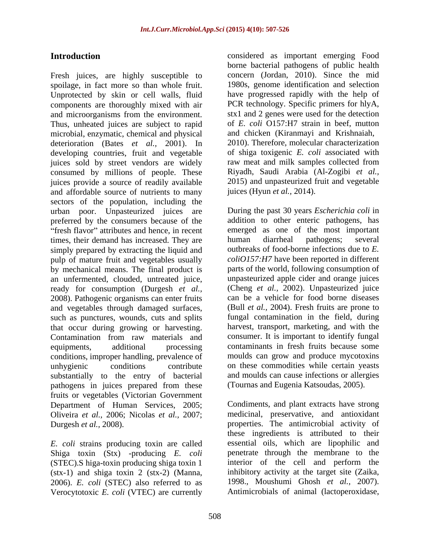Fresh juices, are highly susceptible to spoilage, in fact more so than whole fruit. Unprotected by skin or cell walls, fluid components are thoroughly mixed with air PCR technology. Specific primers for hlyA, and microorganisms from the environment. Thus, unheated juices are subject to rapid microbial, enzymatic, chemical and physical deterioration (Bates *et al.,* 2001). In developing countries, fruit and vegetable juices sold by street vendors are widely consumed by millions of people. These juices provide a source of readily available and affordable source of nutrients to many sectors of the population, including the urban poor. Unpasteurized juices are preferred by the consumers because of the "fresh flavor" attributes and hence, in recent times, their demand has increased. They are human diarrheal pathogens; several simply prepared by extracting the liquid and pulp of mature fruit and vegetables usually by mechanical means. The final product is an unfermented, clouded, untreated juice, ready for consumption (Durgesh *et al.,* 2008). Pathogenic organisms can enter fruits and vegetables through damaged surfaces, such as punctures, wounds, cuts and splits that occur during growing or harvesting. Contamination from raw materials and equipments, additional processing contaminants in fresh fruits because some conditions, improper handling, prevalence of unhygienic conditions contribute on these commodities while certain yeasts substantially to the entry of bacterial pathogens in juices prepared from these fruits or vegetables (Victorian Government Oliveira *et al.,* 2006; Nicolas *et al.,* 2007;

*E. coli* strains producing toxin are called Shiga toxin (Stx) -producing *E. coli* (STEC).S higa-toxin producing shiga toxin 1 (stx-1) and shiga toxin 2 (stx-2) (Manna, 2006). *E. coli* (STEC) also referred to as Verocytotoxic *E. coli* (VTEC) are currently

**Introduction considered** as important emerging Food borne bacterial pathogens of public health concern (Jordan, 2010). Since the mid 1980s, genome identification and selection have progressed rapidly with the help of stx1 and 2 genes were used for the detection of *E. coli* O157:H7 strain in beef, mutton and chicken (Kiranmayi and Krishnaiah, 2010). Therefore, molecular characterization of shiga toxigenic *E. coli* associated with raw meat and milk samples collected from Riyadh, Saudi Arabia (Al-Zogibi *et al.,* 2015) and unpasteurized fruit and vegetable juices (Hyun *et al.,* 2014).

> During the past 30 years *Escherichia coli* in addition to other enteric pathogens, has emerged as one of the most important human diarrheal pathogens; several outbreaks of food-borne infections due to *E. coliO157:H7* have been reported in different parts of the world, following consumption of unpasteurized apple cider and orange juices (Cheng *et al.,* 2002). Unpasteurized juice can be a vehicle for food borne diseases (Bull *et al.,* 2004). Fresh fruits are prone to fungal contamination in the field, during harvest, transport, marketing, and with the consumer. It is important to identify fungal moulds can grow and produce mycotoxins and moulds can cause infections or allergies (Tournas and Eugenia Katsoudas, 2005).

Department of Human Services, 2005; Condiments, and plant extracts have strong Durgesh *et al.,* 2008). properties. The antimicrobial activity of medicinal, preservative, and antioxidant these ingredients is attributed to their essential oils, which are lipophilic and penetrate through the membrane to the interior of the cell and perform the inhibitory activity at the target site (Zaika, 1998., Moushumi Ghosh *et al.,* 2007). Antimicrobials of animal (lactoperoxidase,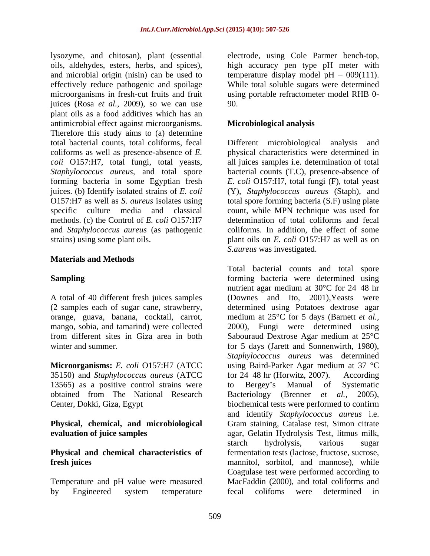lysozyme, and chitosan), plant (essential electrode, using Cole Parmer bench-top, oils, aldehydes, esters, herbs, and spices), high accuracy pen type pH meter with and microbial origin (nisin) can be used to temperature display model  $pH - 009(111)$ . effectively reduce pathogenic and spoilage While total soluble sugars were determined microorganisms in fresh-cut fruits and fruit juices (Rosa *et al.,* 2009), so we can use plant oils as a food additives which has an antimicrobial effect against microorganisms. Therefore this study aims to (a) determine total bacterial counts, total coliforms, fecal juices. (b) Identify isolated strains of *E. coli* and *Staphylococcus aureus* (as pathogenic

#### **Materials and Methods**

A total of 40 different fresh juices samples

35150) and *Staphylococcus aureus* (ATCC 13565) as a positive control strains were to Bergey's Manual of Systematic obtained from The National Research Bacteriology (Brenner et al., 2005), Center, Dokki, Giza, Egypt

**evaluation of juice samples** agar, Gelatin Hydrolysis Test, litmus milk,

## **Physical and chemical characteristics of**

Temperature and pH value were measured by Engineered system temperature fecal colifoms were determined in

using portable refractometer model RHB 0- 90.

### **Microbiological analysis**

coliforms as well as presence-absence of *E.*  physical characteristics were determined in *coli* O157:H7, total fungi, total yeasts, all juices samples i.e. determination of total *Staphylococcus aureus*, and total spore bacterial counts (T.C), presence-absence of forming bacteria in some Egyptian fresh *E. coli* O157:H7, total fungi (F), total yeast O157:H7 as well as *S. aureus* isolates using total spore forming bacteria (S.F) using plate specific culture media and classical count, while MPN technique was used for methods. (c) the Control of *E. coli* O157:H7 determination of total coliforms and fecal strains) using some plant oils. plant oils on *E. coli* O157:H7 as well as on Different microbiological (Y), *Staphylococcus aureus* (Staph), and coliforms. In addition, the effect of some *S.aureus* was investigated.

**Sampling Sampling** *n Sampling n n sampling n n n n n sampling n n n n n n n n n n n n n n n n n n n* (2 samples each of sugar cane, strawberry, determined using Potatoes dextrose agar orange, guava, banana, cocktail, carrot, medium at 25°C for 5 days (Barnett *et al.,* mango, sobia, and tamarind) were collected 2000), Fungi were determined using from different sites in Giza area in both Sabouraud Dextrose Agar medium at 25°C winter and summer. The same state of the state of the state of the state of the state of the state of the state of the state of the state of the state of the state of the state of the state of the state of the state of the **Microorganisms:** *E. coli* O157:H7 (ATCC using Baird-Parker Agar medium at 37 °C **Physical, chemical, and microbiological** Gram staining, Catalase test, Simon citrate **fresh juices** mannitol, sorbitol, and mannose), while Total bacterial counts and total spore nutrient agar medium at 30°C for 24–48 hr (Downes and Ito, 2001),Yeasts were *Staphylococcus aureus* was determined for  $24-48$  hr (Horwitz, 2007). to Bergey s Manual of Systematic Bacteriology (Brenner *et al.,* 2005), biochemical tests were performed to confirm and identify *Staphylococcus aureus* i.e. agar, Gelatin Hydrolysis Test, litmus milk, starch hydrolysis, various sugar fermentation tests (lactose, fructose, sucrose, Coagulase test were performed according to MacFaddin (2000), and total coliforms and fecal colifoms were determined in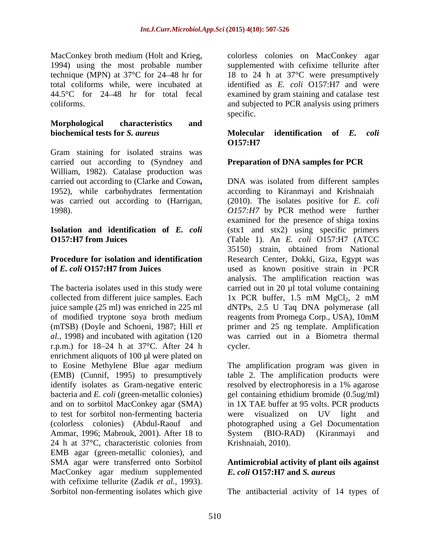MacConkey broth medium (Holt and Krieg, colorless colonies on MacConkey agar 1994) using the most probable number technique (MPN) at 37°C for 24 48 hr for 18 to 24 h at 37°C were presumptively total coliforms while, were incubated at identified as *E. coli* O157:H7 and were 44.5°C for 24 48 hr for total fecal examined by gram staining and catalase test coliforms. and subjected to PCR analysis using primers

#### **Morphological characteristics and biochemical tests for** *S. aureus*

Gram staining for isolated strains was carried out according to (Syndney and William, 1982). Catalase production was 1952), while carbohydrates fermentation

The bacteria isolates used in this study were collected from different juice samples. Each  $1x$  PCR buffer, 1.5 mM  $MgCl<sub>2</sub>$ , 2 mM of modified tryptone soya broth medium reagents from Promega Corp., USA), 10mM r.p.m.) for  $18-24$  h at  $37^{\circ}$ C. After 24 h cycler. enrichment aliquots of 100 µl were plated on to Eosine Methylene Blue agar medium identify isolates as Gram-negative enteric resolved by electrophoresis in a 1% agarose to test for sorbitol non-fermenting bacteria Ammar, 1996; Mabrouk, 2001). After 18 to System (BIO-RAD) (Kiranmayi and 24 h at  $37^{\circ}$ C, characteristic colonies from Krishnaiah, 2010). EMB agar (green-metallic colonies), and SMA agar were transferred onto Sorbitol **Antimicrobial activity of plant oils against** MacConkey agar medium supplemented with cefixime tellurite (Zadik *et al.*, 1993).<br>Sorbitol non-fermenting isolates which give Sorbitol non-fermenting isolates which give The antibacterial activity of 14 types of

supplemented with cefixime tellurite after specific. The set of the set of the set of the set of the set of the set of the set of the set of the set of the set of the set of the set of the set of the set of the set of the set of the set of the set of the set of the

#### **Molecular identification of** *E. coli* **O157:H7**

### **Preparation of DNA samples for PCR**

carried out according to (Clarke and Cowan**,** DNA was isolated from different samples was carried out according to (Harrigan, (2010). The isolates positive for *E. coli* 1998). *O157:H7* by PCR method were further **Isolation and identification of** *E. coli* (stx1 and stx2) using specific primers **O157:H7 from Juices**  (Table 1). An *E. coli* O157:H7 (ATCC **Procedure for isolation and identification** Research Center, Dokki, Giza, Egypt was **of** *E. coli* **O157:H7 from Juices**  used as known positive strain in PCR juice sample (25 ml) was enriched in 225 ml dNTPs, 2.5 U Taq DNA polymerase (all (mTSB) (Doyle and Schoeni, 1987; Hill *et*  primer and 25 ng template. Amplification *al.,* 1998) and incubated with agitation (120 was carried out in a Biometra thermal according to Kiranmayi and Krishnaiah examined for the presence of shiga toxins 35150) strain, obtained from National analysis. The amplification reaction was carried out in 20 µl total volume containing 1x PCR buffer, 1.5 mM  $MgCl<sub>2</sub>$ , 2 mM reagents from Promega Corp., USA), 10mM cycler.

(EMB) (Cunnif, 1995) to presumptively table 2. The amplification products were bacteria and *E. coli* (green-metallic colonies) gel containing ethidium bromide (0.5ug/ml) and on to sorbitol MacConkey agar (SMA) in 1X TAE buffer at 95 volts. PCR products (colorless colonies) (Abdul-Raouf and photographed using a Gel Documentation The amplification program was given in resolved by electrophoresis in a 1% agarose were visualized on UV light and System (BIO-RAD) (Kiranmayi and Krishnaiah, 2010).

## *E. coli* **O157:H7 and** *S. aureus*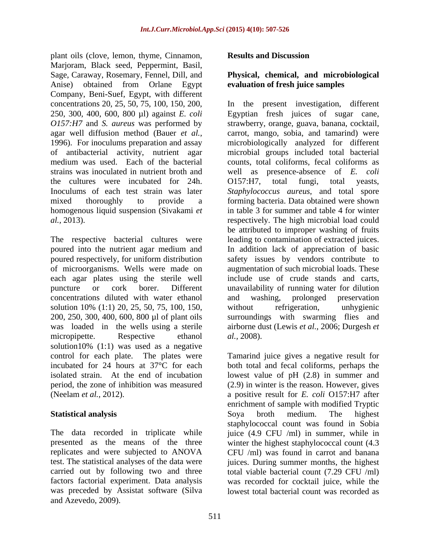plant oils (clove, lemon, thyme, Cinnamon, Results and Discussion Marjoram, Black seed, Peppermint, Basil, Sage, Caraway, Rosemary, Fennel, Dill, and **Physical, chemical, and microbiological** Anise) obtained from Orlane Egypt Company, Beni-Suef, Egypt, with different the cultures were incubated for 24h. O157:H7, total fungi, total yeasts, homogenous liquid suspension (Sivakami *et* 

of microorganisms. Wells were made on concentrations diluted with water ethanol solution 10% (1:1) 20, 25, 50, 75, 100, 150, without refrigeration, unhygienic 200, 250, 300, 400, 600, 800 µl of plant oils was loaded in the wells using a sterile solution10% (1:1) was used as a negative control for each plate. The plates were Tamarind juice gives a negative result for incubated for 24 hours at 37°C for each both total and fecal coliforms, perhaps the isolated strain. At the end of incubation lowest value of pH (2.8) in summer and period, the zone of inhibition was measured

was preceded by Assistat software (Silva lowest total bacterial count was recorded asand Azevedo, 2009).

### **Results and Discussion**

## **evaluation of fresh juice samples**

concentrations 20, 25, 50, 75, 100, 150, 200, In the present investigation, different 250, 300, 400, 600, 800 µl) against *E. coli* Egyptian fresh juices of sugar cane, *O157:H7* and *S. aureus* was performed by strawberry, orange, guava, banana, cocktail, agar well diffusion method (Bauer *et al.*, carrot, mango, sobia, and tamarind) were 1996). For inoculums preparation and assay microbiologically analyzed for different of antibacterial activity, nutrient agar microbial groups included total bacterial medium was used. Each of the bacterial counts, total coliforms, fecal coliforms as strains was inoculated in nutrient broth and well as presence-absence of *E. coli* Inoculums of each test strain was later *Staphylococcus aureus*, and total spore mixed thoroughly to provide a forming bacteria. Data obtained were shown *al.,* 2013). respectively. The high microbial load could The respective bacterial cultures were leading to contamination of extracted juices. poured into the nutrient agar medium and In addition lack of appreciation of basic poured respectively, for uniform distribution safety issues by vendors contribute to each agar plates using the sterile well include use of crude stands and carts, puncture or cork borer. Different unavailability of running water for dilution micropipette. Respective ethanol al., 2008). O157:H7, total fungi, total yeasts, in table 3 for summer and table 4 for winter be attributed to improper washing of fruits augmentation of such microbial loads. These and washing, prolonged preservation without refrigeration, unhygienic surroundings with swarming flies and airborne dust (Lewis *et al.,* 2006; Durgesh *et al.,* 2008).

(Neelam *et al.,* 2012). a positive result for *E. coli* O157:H7 after **Statistical analysis** Soya broth medium. The highest The data recorded in triplicate while juice (4.9 CFU /ml) in summer, while in presented as the means of the three winter the highest staphylococcal count (4.3 replicates and were subjected to ANOVA CFU /ml) was found in carrot and banana test. The statistical analyses of the data were juices. During summer months, the highest carried out by following two and three total viable bacterial count (7.29 CFU /ml) factors factorial experiment. Data analysis was recorded for cocktail juice, while the (2.9) in winter is the reason. However, gives enrichment of sample with modified Tryptic Soya broth medium. The highest staphylococcal count was found in Sobia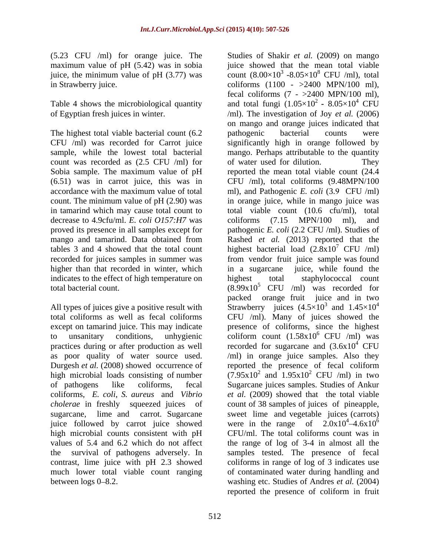(5.23 CFU /ml) for orange juice. The Studies of Shakir *et al.* (2009) on mango maximum value of pH (5.42) was in sobia

The highest total viable bacterial count (6.2 mathogenic bacterial counts were count was recorded as  $(2.5 \text{ CFU } / \text{ml})$  for of water used for dilution. They (6.51) was in carrot juice, this was in decrease to 4.9cfu/ml. *E. coli O157:H7* was coliforms (7.15 MPN/100 ml), and higher than that recorded in winter, which in a sugarcane juice, while found the indicates to the effect of high temperature on highest total

total coliforms as well as fecal coliforms CFU /ml). Many of juices showed the as poor quality of water source used. coliforms, *E. coli*, *S. aureus* and *Vibrio*  juice followed by carrot juice showed high microbial counts consistent with pH

juice, the minimum value of pH (3.77) was count  $(8.00\times10^3 \text{ -}8.05\times10^8 \text{ CFU }/\text{ml})$ , total in Strawberry juice. coliforms (1100 - >2400 MPN/100 ml), Table 4 shows the microbiological quantity and total fungi  $(1.05\times10^{2} - 8.05\times10^{4} \text{ CFU})$ of Egyptian fresh juices in winter. /ml). The investigation of Joy *et al.* (2006) CFU /ml) was recorded for Carrot juice significantly high in orange followed by sample, while the lowest total bacterial mango. Perhaps attributable to the quantity Sobia sample. The maximum value of pH reported the mean total viable count (24.4 accordance with the maximum value of total ml), and Pathogenic *E. coli* (3.9 CFU/ml) count. The minimum value of pH (2.90) was in orange juice, while in mango juice was in tamarind which may cause total count to total viable count (10.6 cfu/ml), total proved its presence in all samples except for pathogenic *E. coli* (2.2 CFU /ml). Studies of mango and tamarind. Data obtained from Rashed *et al.* (2013) reported that the tables 3 and 4 showed that the total count highest bacterial load  $(2.8x10<sup>7</sup>$  CFU /ml) recorded for juices samples in summer was from vendor fruit juice sample was found total bacterial count.  $(8.99x10^5 \text{ CFU } / \text{ml})$  was recorded for All types of juices give a positive result with Strawberry juices  $(4.5\times10^3$  and  $1.45\times10^4$ except on tamarind juice. This may indicate presence of coliforms, since the highest to unsanitary conditions, unhygienic coliform count  $(1.58x10^6 \text{ CFU } / \text{ml})$  was practices during or after production as well recorded for sugarcane and  $(3.6x10<sup>4</sup>$  CFU Durgesh *et al.* (2008) showed occurrence of reported the presence of fecal coliform high microbial loads consisting of number  $(7.95x10^2 \text{ and } 1.95x10^2 \text{ CFU } / \text{ml})$  in two of pathogens like coliforms, fecal Sugarcane juices samples. Studies of Ankur *cholerae* in freshly squeezed juices of count of 38 samples of juices of pineapple, sugarcane, lime and carrot. Sugarcane sweet lime and vegetable juices (carrots) values of 5.4 and 6.2 which do not affect the range of log of 3-4 in almost all the the survival of pathogens adversely. In samples tested. The presence of fecal contrast, lime juice with pH 2.3 showed coliforms in range of log of 3 indicates use much lower total viable count ranging of contaminated water during handling and between logs 0–8.2. washing etc. Studies of Andres *et al.* (2004) juice showed that the mean total viable  $3$  -8.05×10<sup>8</sup> CFU /ml), total fecal coliforms  $(7 - >2400$  MPN/100 ml), <sup>2</sup>**-** 8.05×10<sup>4</sup> CFU on mango and orange juices indicated that pathogenic bacterial counts were of water used for dilution. They CFU /ml), total coliforms (9.48MPN/100 coliforms (7.15 MPN/100 ml), and  $^7$  CFU /ml) in a sugarcane juice, while found the staphylococcal count packed orange fruit juice and in two 3 and  $1.45 \times 10^4$ and  $1.45\times10^4$ 4 Strawberry juices  $(4.5 \times 10^3$  and  $1.45 \times 10^4$ <br>CFU /ml). Many of juices showed the  $6$  CFU /ml) was  $4$  CFU /ml) in orange juice samples. Also they  $2$  CFU /ml) in two *et al.* (2009) showed that the total viable were in the range of  $2.0x10^4 - 4.6x10^6$  $4.6x10^6$ CFU/ml. The total coliforms count was in reported the presence of coliform in fruit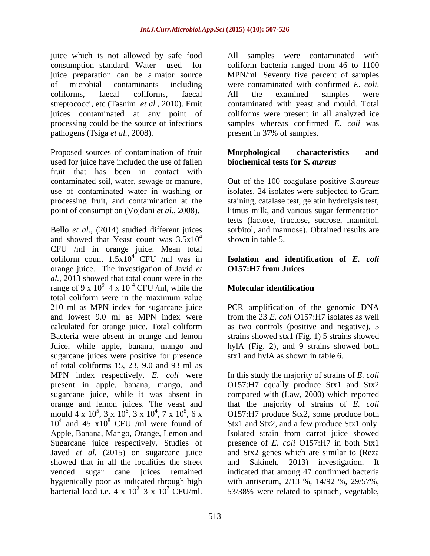juice which is not allowed by safe food all samples were contaminated with juice preparation can be a major source of microbial contaminants including were contaminated with confirmed E. coli. pathogens (Tsiga *et al.,* 2008).

Proposed sources of contamination of fruit Morphological characteristics and used for juice have included the use of fallen fruit that has been in contact with contaminated soil, water, sewage or manure, Out of the 100 coagulase positive *S.aureus* use of contaminated water in washing or isolates, 24 isolates were subjected to Gram processing fruit, and contamination at the staining, catalase test, gelatin hydrolysis test, point of consumption (Vojdani *et al.,* 2008). litmus milk, and various sugar fermentation

Bello *et al.,* (2014) studied different juices and showed that Yeast count was  $3.5x10^4$  shown in table 5. CFU /ml in orange juice. Mean total coliform count  $1.5x10^4$  CFU /ml was in **Isolation and identification of** *E. coli* orange juice. The investigation of Javid *et al.,* 2013 showed that total count were in the range of 9 x  $10^9$ –4 x  $10^4$  CFU /ml, while the **Molecular identification** total coliform were in the maximum value 210 ml as MPN index for sugarcane juice PCR amplification of the genomic DNA and lowest 9.0 ml as MPN index were from the 23 *E. coli* O157:H7 isolates as well calculated for orange juice. Total coliform as two controls (positive and negative), 5 Bacteria were absent in orange and lemon strains showed stx1 (Fig. 1) 5 strains showed Juice, while apple, banana, mango and hylA (Fig. 2), and 9 strains showed both sugarcane juices were positive for presence of total coliforms 15, 23, 9.0 and 93 ml as MPN index respectively. *E. coli* were In this study the majority of strains of *E. coli* present in apple, banana, mango, and O157:H7 equally produce Stx1 and Stx2 sugarcane juice, while it was absent in compared with (Law, 2000) which reported orange and lemon juices. The yeast and that the majority of strains of *E. coli* mould  $4 \times 10^5$ ,  $3 \times 10^6$ ,  $3 \times 10^4$ ,  $7 \times 10^5$ ,  $6 \times$  0157:H7 produce Stx2, some produce both  $10^4$  and 45  $\times 10^8$  CFU /ml were found of Apple, Banana, Mango, Orange, Lemon and Sugarcane juice respectively. Studies of presence of *E. coli* O157:H7 in both Stx1 Javed *et al.* (2015) on sugarcane juice and Stx2 genes which are similar to (Reza showed that in all the localities the street and Sakineh, 2013) investigation. It vended sugar cane juices remained indicated that among 47 confirmed bacteria hygienically poor as indicated through high with antiserum, 2/13 %, 14/92 %, 29/57%, bacterial load i.e. 4 x  $10^2 - 3$  x  $10^7$  CFU/ml. 53/38% were related to spinach, vegetable,

consumption standard. Water used for coliform bacteria ranged from 46 to 1100 coliforms, faecal coliforms, faecal streptococci, etc (Tasnim *et al.,* 2010). Fruit contaminated with yeast and mould. Total juices contaminated at any point of coliforms were present in all analyzed ice processing could be the source of infections samples whereas confirmed *E. coli* was MPN/ml. Seventy five percent of samples were contaminated with confirmed *E. coli*.<br>All the examined samples were present in 37% of samples.

#### **Morphological characteristics and biochemical tests for** *S. aureus*

 $\frac{4}{100}$  shown in table 5 tests (lactose, fructose, sucrose, mannitol, sorbitol, and mannose). Obtained results are shown in table 5.

# **O157:H7 from Juices**

### CFU /ml, while the **Molecular identification**

stx1 and hylA as shown in table 6.

and 45  $x10^8$  CFU /ml were found of Stx1 and Stx2, and a few produce Stx1 only. safe food<br>sued of coliform bacteria ranged from 46 to 1100<br>sued of coliform bacteria ranged from 46 to 1100<br>or outer Where the examined with confirmed *E* coli.<br>including were contaminated with confirmed *E* colif.<br>point Isolated strain from carrot juice showed and Sakineh, 2013) investigation. It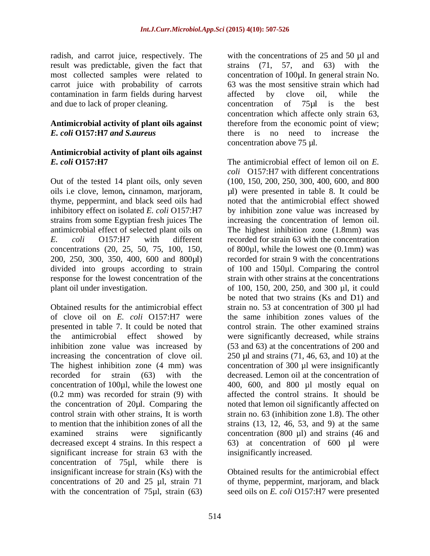radish, and carrot juice, respectively. The with the concentrations of 25 and 50 µl and result was predictable, given the fact that carrot juice with probability of carrots contamination in farm fields during harvest affected by clove oil, while the and due to lack of proper cleaning. concentration of 75µl is the best

#### **Antimicrobial activity of plant oils against** *E. coli* **O157:H7** *and S.aureus*

## **Antimicrobial activity of plant oils against**

concentrations (20, 25, 50, 75, 100, 150,

presented in table 7. It could be noted that significant increase for strain 63 with the concentration of 75µl, while there is insignificant increase for strain (Ks) with the Obtained results for the antimicrobial effect concentrations of 20 and 25 µl, strain 71 of thyme, peppermint, marjoram, and black with the concentration of 75µl, strain (63) seed oils on *E. coli* O157:H7 were presented

most collected samples were related to concentration of 100µl. In general strain No. strains (71, 57, and 63) with the 63 was the most sensitive strain which had affected by clove oil, while the concentration of 75µl is the best concentration which affecte only strain 63, therefore from the economic point of view; there is no need to increase the concentration above 75 µl.

*E. coli* **O157:H7** The antimicrobial effect of lemon oil on *E.*  Out of the tested 14 plant oils, only seven (100, 150, 200, 250, 300, 400, 600, and 800 oils i.e clove, lemon, cinnamon, marjoram, <br>  $\mu$ l) were presented in table 8. It could be thyme, peppermint, and black seed oils had noted that the antimicrobial effect showed inhibitory effect on isolated *E. coli* O157:H7 by inhibition zone value was increased by strains from some Egyptian fresh juices The increasing the concentration of lemon oil. antimicrobial effect of selected plant oils on The highest inhibition zone (1.8mm) was *E. coli* O157:H7 with different recorded for strain 63 with the concentration 200, 250, 300, 350, 400, 600 and 800µl) recorded for strain 9 with the concentrations divided into groups according to strain of 100 and 150µl. Comparing the control response for the lowest concentration of the strain with other strains at the concentrations plant oil under investigation.  $\qquad \qquad$  of 100, 150, 200, 250, and 300 µl, it could Obtained results for the antimicrobial effect strain no. 53 at concentration of 300 µl had of clove oil on *E. coli* O157:H7 were the same inhibition zones values of the the antimicrobial effect showed by were significantly decreased, while strains inhibition zone value was increased by (53 and 63) at the concentrations of 200 and increasing the concentration of clove oil. 250 µl and strains (71, 46, 63, and 10) at the The highest inhibition zone (4 mm) was concentration of 300 µl were insignificantly recorded for strain (63) with the decreased. Lemon oil at the concentration of concentration of 100µl, while the lowest one 400, 600, and 800 µl mostly equal on (0.2 mm) was recorded for strain (9) with affected the control strains. It should be the concentration of 20µl. Comparing the noted that lemon oil significantly affected on control strain with other strains, It is worth strain no. 63 (inhibition zone 1.8). The other to mention that the inhibition zones of all the strains (13, 12, 46, 53, and 9) at the same examined strains were significantly concentration (800 µl) and strains (46 and decreased except 4 strains. In this respect a 63) at concentration of 600 µl were *coli* O157:H7 with different concentrations of 800µl, while the lowest one (0.1mm) was be noted that two strains (Ks and D1) and control strain. The other examined strains insignificantly increased.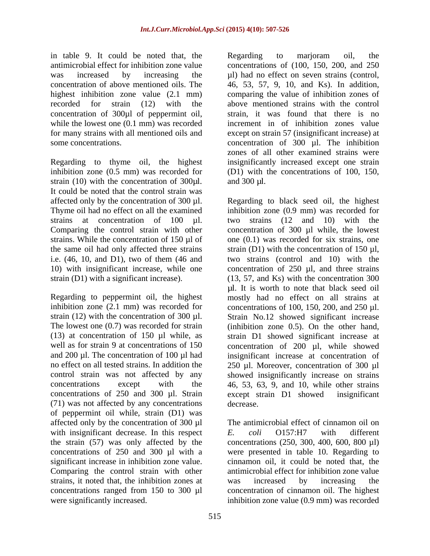in table 9. It could be noted that, the highest inhibition zone value (2.1 mm) concentration of 300 $\mu$ l of peppermint oil, while the lowest one (0.1 mm) was recorded

Regarding to thyme oil, the highest strain (10) with the concentration of 300 $\mu$ l. and 300  $\mu$ l. It could be noted that the control strain was Thyme oil had no effect on all the examined the same oil had only affected three strains strain  $(D1)$  with the concentration of 150  $\mu$ l, i.e. (46, 10, and D1), two of them (46 and two strains (control and 10) with the

inhibition zone  $(2.1 \text{ mm})$  was recorded for concentrations of 100, 150, 200, and 250  $\mu$ l. concentrations of 250 and 300 µl. Strain except strain D1 showed insignificant (71) was not affected by any concentrations of peppermint oil while, strain (D1) was affected only by the concentration of 300 µl with insignificant decrease. In this respect  $E$ . *coli* 0157:H7 with different Comparing the control strain with other strains, it noted that, the inhibition zones at was increased by increasing the were significantly increased. inhibition zone value (0.9 mm) was recorded

antimicrobial effect for inhibition zone value concentrations of (100, 150, 200, and 250 was increased by increasing the  $\mu$ l) had no effect on seven strains (control, concentration of above mentioned oils. The 46, 53, 57, 9, 10, and Ks). In addition, recorded for strain (12) with the above mentioned strains with the control for many strains with all mentioned oils and except on strain 57 (insignificant increase) at some concentrations. The inhibition concentration of 300 µl. The inhibition inhibition zone (0.5 mm) was recorded for (D1) with the concentrations of 100, 150, Regarding to marjoram oil, the comparing the value of inhibition zones of strain, it was found that there is no increment in of inhibition zones value zones of all other examined strains were insignificantly increased except one strain and  $300 \mu l$ .

affected only by the concentration of  $300 \mu$ l. Regarding to black seed oil, the highest strains at concentration of 100 µl. two strains (12 and 10) with the Comparing the control strain with other concentration of 300 µl while, the lowest strains. While the concentration of 150 µl of one (0.1) was recorded for six strains, one 10) with insignificant increase, while one concentration of  $250 \mu l$ , and three strains strain (D1) with a significant increase). (13, 57, and Ks) with the concentration 300 Regarding to peppermint oil, the highest mostly had no effect on all strains at strain (12) with the concentration of 300  $\mu$ l. Strain No.12 showed significant increase<br>The lowest one (0.7) was recorded for strain (inhibition zone 0.5). On the other hand, (13) at concentration of 150 µl while, as strain D1 showed significant increase at well as for strain 9 at concentrations of 150 concentration of 200 µl, while showed and 200 µl. The concentration of 100 µl had insignificant increase at concentration of no effect on all tested strains. In addition the 250 µl. Moreover, concentration of 300 µl control strain was not affected by any showed insignificantly increase on strains concentrations except with the 46, 53, 63, 9, and 10, while other strains inhibition zone (0.9 mm) was recorded for strain (D1) with the concentration of <sup>150</sup> µl, two strains (control and 10) with the µl. It is worth to note that black seed oil concentrations of 100, 150, 200, and <sup>250</sup> µl. Strain No.12 showed significant increase (inhibition zone 0.5). On the other hand, except strain D1 showed insignificant decrease.

the strain (57) was only affected by the concentrations (250, 300, 400, 600, 800 µl) concentrations of 250 and 300 µl with a were presented in table 10. Regarding to significant increase in inhibition zone value. cinnamon oil, it could be noted that, the concentrations ranged from 150 to 300 µl concentration of cinnamon oil. The highest The antimicrobial effect of cinnamon oil on *E. coli* O157:H7 with different antimicrobial effect for inhibition zone value was increased by increasing the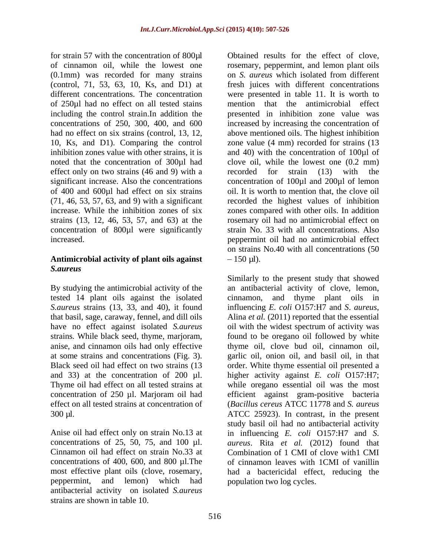(0.1mm) was recorded for many strains on S. *aureus* which isolated from different of 250µl had no effect on all tested stains including the control strain.In addition the effect only on two strains (46 and 9) with a recorded for strain (13) with the of 400 and 600µl had effect on six strains increase. While the inhibition zones of six

### Antimicrobial activity of plant oils against  $-150 \text{ µl}$ ). *S.aureus*

*S.aureus* strains (13, 33, and 40), it found influencing *E. coli* O157:H7 and *S. aureus*, that basil, sage, caraway, fennel, and dill oils Alina *et al.* (2011) reported that the essential anise, and cinnamon oils had only effective Thyme oil had effect on all tested strains at

Cinnamon oil had effect on strain No.33 at concentrations of 400, 600, and 800 µl.The peppermint, and lemon) which had antibacterial activity on isolated *S.aureus* strains are shown in table 10.

for strain 57 with the concentration of 800µl Obtained results for the effect of clove, of cinnamon oil, while the lowest one rosemary, peppermint, and lemon plant oils (control, 71, 53, 63, 10, Ks, and D1) at fresh juices with different concentrations different concentrations. The concentration were presented in table 11. It is worth to concentrations of 250, 300, 400, and 600 increased by increasing the concentration of had no effect on six strains (control, 13, 12, above mentioned oils. The highest inhibition 10, Ks, and D1). Comparing the control zone value (4 mm) recorded for strains (13 inhibition zones value with other strains, it is and 40) with the concentration of 100 $\mu$ l of noted that the concentration of 300µl had clove oil, while the lowest one (0.2 mm) significant increase. Also the concentrations concentration of 100 $\mu$ l and 200 $\mu$ l of lemon (71, 46, 53, 57, 63, and 9) with a significant recorded the highest values of inhibition strains (13, 12, 46, 53, 57, and 63) at the rosemary oil had no antimicrobial effect on concentration of 800µl were significantly strain No. 33 with all concentrations. Also increased. peppermint oil had no antimicrobial effect on *S. aureus* which isolated from different mention that the antimicrobial effect presented in inhibition zone value was recorded for strain (13) with the oil. It is worth to mention that, the clove oil zones compared with other oils. In addition on strains No.40 with all concentrations (50  $150 \mu$ .

By studying the antimicrobial activity of the an antibacterial activity of clove, lemon, tested 14 plant oils against the isolated cinnamon, and thyme plant oils in have no effect against isolated *S.aureus* oil with the widest spectrum of activity was strains*.* While black seed, thyme, marjoram, found to be oregano oil followed by white at some strains and concentrations (Fig. 3). garlic oil, onion oil, and basil oil, in that Black seed oil had effect on two strains (13 order. White thyme essential oil presented a and 33) at the concentration of 200 µl. higher activity against *E. coli* O157:H7; concentration of 250 µl. Marjoram oil had efficient against gram-positive bacteria effect on all tested strains at concentration of (*Bacillus cereus* ATCC 11778 and *S. aureus* 300 µl. ATCC 25923). In contrast, in the present Anise oil had effect only on strain No.13 at in influencing *E. coli* O157:H7 and *S*. concentrations of 25, 50, 75, and 100 µl. *aureus*. Rita *et al.* (2012) found that most effective plant oils (clove, rosemary, had a bactericidal effect, reducing the Similarly to the present study that showed influencing *E. coli* O157:H7 and *<sup>S</sup>*. *aureus*, Alina *et al.* (2011) reported that the essential thyme oil, clove bud oil, cinnamon oil, while oregano essential oil was the most study basil oil had no antibacterial activity Combination of 1 CMI of clove with1 CMI of cinnamon leaves with 1CMI of vanillin population two log cycles.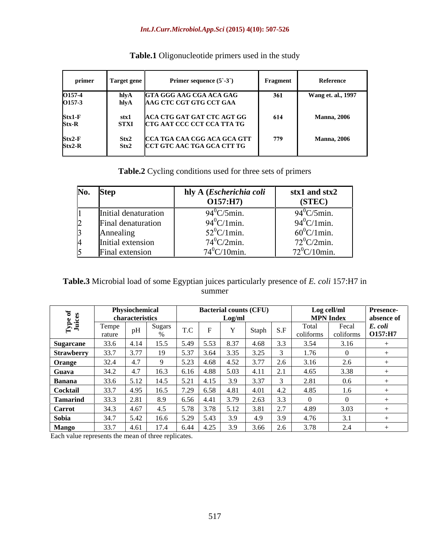#### *Int.J.Curr.Microbiol.App.Sci* **(2015) 4(10): 507-526**

| primer               | Target gene         | Primer sequence $(5-3)$                                   | Fragment | Reference           |
|----------------------|---------------------|-----------------------------------------------------------|----------|---------------------|
| 0157-4<br>0157-3     | hlvA<br>hlvA        | <b>GTA GGG AAG CGA ACA GAG</b><br>AAG CTC CGT GTG CCT GAA | 361      | Wang et. al., 1997  |
| $Stx1-F$<br>tx-R     | stxi<br><b>STXI</b> | ACA CTG GAT GAT CTC AGT GG<br>CTG AAT CCC CCT CCA TTA TG  | 614      | <b>Manna</b> , 2006 |
| $Stx2-F$<br>$str2-R$ | Stx2<br>Stx2        | CCA TGA CAA CGG ACA GCA GTT<br>CCT GTC AAC TGA GCA CTT TG | 779      | <b>Manna</b> , 2006 |

### **Table.1** Oligonucleotide primers used in the study

**Table.2** Cycling conditions used for three sets of primers

| No. | <b>Step</b>                                    | hly A ( <i>Escherichia coli</i><br>O157:H7 | stx1 and stx2<br>(STEC) |
|-----|------------------------------------------------|--------------------------------------------|-------------------------|
|     | Initial denaturation                           | $94^{\circ}$ C/5min.                       | $94^{\circ}$ C/5min.    |
|     | $\overline{\phantom{a}}$<br>Final denaturation | $94^{\circ}$ C/1min.                       | $94^0$ C/1min.          |
|     | Annealing                                      | $52^0$ C/1min.                             | $60^{\circ}$ C/1min.    |
|     | Initial extension                              | $74^{\circ}$ C/2min.                       | $72^0$ C/2min.          |
|     | $\overline{\phantom{a}}$<br>Final extension    | $74^0$ C/10min.                            | $72^{\circ}$ C/10min.   |

### **Table.3** Microbial load of some Egyptian juices particularly presence of *E. coli* 157:H7 in summer and the state of the state of the state of the state of the state of the state of the state of the state of the state of the state of the state of the state of the state of the state of the state of the state of the

|                   |                 | Physiochemical         |        |                    | <b>Bacterial counts (CFU)</b> |              |                          |               |                     | Log cell/ml        | <b>Presence-</b>   |
|-------------------|-----------------|------------------------|--------|--------------------|-------------------------------|--------------|--------------------------|---------------|---------------------|--------------------|--------------------|
|                   |                 | <b>characteristics</b> |        |                    |                               |              |                          |               |                     | <b>MPN Index</b>   | absence of         |
|                   | Tempe<br>rature |                        | Sugars | $T \cap$           |                               | $\mathbf{v}$ | - Stanh                  |               | 1 otal<br>coliforms | Fecal<br>coliforms | E. coli<br>O157:H7 |
| <b>Sugarcane</b>  |                 |                        | 15.5   | 5.49               | 5.53                          | 18.37        | 4.68                     |               |                     |                    |                    |
| <b>Strawberry</b> |                 | 3.11                   | 19     | 5.37               | 3.64                          | 3.35         | $\overline{\phantom{a}}$ |               |                     |                    |                    |
| Orange            | 34.4            | 4.1                    |        | <i><b>J.LJ</b></i> | 4.68                          | 4.52         | 277<br>J. I I            |               |                     |                    |                    |
| <b>Guava</b>      | 240             |                        | 16.3   | 6.16               | 4.88                          | 5.03         | 4.11                     |               | 4.65                | 3.38               |                    |
| Banana            |                 | 5.12                   | 14.5   | 5.21               | 4.15                          | 3.9          | 3.37                     |               | 2.81                |                    |                    |
| <b>Cocktail</b>   | $\sim$ $\sim$   | 4.95                   | 16.5   |                    | -6.58                         | 4.81         |                          |               | 4.85                |                    |                    |
| Tamarind          |                 | 2.81                   | 8.9    | 6.56 4.41          |                               | 3.79         | 2. <sub>03</sub>         |               |                     |                    |                    |
| <b>Carrot</b>     |                 | 4.67                   | 4.5    |                    |                               | 5.12         | 3.81                     | $\sim$ $\sim$ |                     | 202                |                    |
| Sobia             | 34.7            | 5.42                   | 16.6   | ട ററ               | 5.43                          | 3.9          | 4.9                      |               | . 4. ZU             |                    |                    |
| <b>Mango</b>      | $\sim$ $\sim$   | 4.61                   | 174    |                    |                               |              |                          |               |                     |                    |                    |

Each value represents the mean of three replicates.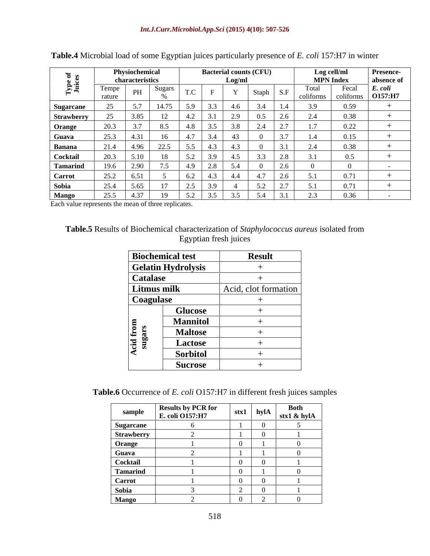|                   |                 | Physiochemical             |                      |                        | <b>Bacterial counts (CFU)</b> |                      |                         |               | Log cell/ml      |                    | <b>Presence-</b>              |
|-------------------|-----------------|----------------------------|----------------------|------------------------|-------------------------------|----------------------|-------------------------|---------------|------------------|--------------------|-------------------------------|
|                   |                 | characteristics            |                      |                        |                               | Log/ml               |                         |               | <b>MPN</b> Index |                    | $\parallel$ absence of        |
| δF                | Tempe<br>rature | $n_{\text{II}}$<br>1 1 1 L | Sugars               | $T \cap C$<br>$\cdot$  |                               |                      | <b>Staph</b><br>- S.F   | coliforms     |                  | Fecal<br>coliforms | $\mathbf{E}$ . col<br>O157:H7 |
| <b>Sugarcane</b>  | $\sim$ $\sim$   |                            | 14.75                | 5.9                    |                               | 4.6                  | 1.4<br>-3.4             | 3.9           |                  | 0.59               |                               |
| <b>Strawberry</b> | $\sim$ $\sim$   | 3.85                       |                      | 4.2                    |                               | 2.9                  | 0.5<br>2.6 <sub>1</sub> | $2.4^{\circ}$ |                  | 0.38               |                               |
| Orange            |                 |                            | 8.5                  | 4.8                    |                               | 3.8                  | $\sim$ $\sim$           | 17            |                  | 0.22               |                               |
| Guava             | 25.3            | 4.31                       | -10                  | 4.1                    | 3.4                           |                      | $\sim$                  | 1.4           |                  | 0.15               |                               |
| Banana            | 21.4            | 4.96                       | 22.5                 | 5.5                    | 4.5                           | د.+                  | 3.1                     | 2.4           |                  | 0.38               |                               |
| <b>Cocktail</b>   | 20.3            | 5.10                       | - 18                 | 5.2                    | -9.7                          |                      | 3.3<br>2.8              | 3.1           |                  |                    |                               |
| <b>Tamarind</b>   | 19.6            | 2.90                       |                      | 4.9                    |                               |                      |                         |               |                  |                    |                               |
| Carrot            | 25.2            | 6.51                       |                      | 6.2                    | - 4.3                         | 4.4                  | 4.7<br>2.6              | 51            |                  | 0.71               |                               |
| Sobia             | 25.4            | 5.65                       |                      | 2.5                    | 7.7                           |                      | 27                      |               |                  | 0.71               |                               |
| <b>Mango</b>      | 25.5            | 4.37                       | 10<br>$\overline{1}$ | $\epsilon \sim$<br>J.Z | J.J                           | $\sim$ $\sim$<br>J.J | ر.                      | 2.5           |                  | 0.36               |                               |

| Table.4<br>- TT-<br>$\blacksquare$ A Microbial load of some Egyptian $\mu$ .<br>i juices particularly presence of $E$ .<br>. coli 157:H7 $^{\dagger}$<br>ın winter |  |
|--------------------------------------------------------------------------------------------------------------------------------------------------------------------|--|
|                                                                                                                                                                    |  |

Each value represents the mean of three replicates.

### **Table.5** Results of Biochemical characterization of *Staphylococcus aureus* isolated from Egyptian fresh juices

|                    | <b>Biochemical test</b>   | <b>Result</b>        |
|--------------------|---------------------------|----------------------|
|                    | <b>Gelatin Hydrolysis</b> |                      |
| <b>Catalase</b>    |                           |                      |
| Litmus milk        |                           | Acid, clot formation |
| <b>Coagulase</b>   |                           |                      |
|                    | <b>Glucose</b>            |                      |
|                    | <b>Mannitol</b>           |                      |
|                    | <b>Maltose</b>            |                      |
| cid from<br>sugars | Lactose                   |                      |
|                    | <b>Sorbitol</b>           |                      |
|                    | <b>Sucrose</b>            |                      |

**Table.6** Occurrence of *E. coli* O157:H7 in different fresh juices samples

| sample           | <b>Results by PCR for</b><br><b>E.</b> coli O157:H7 | $stx1$ hyl $A$ | <b>Both</b><br>$\frac{\text{stx1 & hyIA}}{}$ |
|------------------|-----------------------------------------------------|----------------|----------------------------------------------|
| <b>Sugarcane</b> |                                                     |                |                                              |
| Strawberry       |                                                     |                |                                              |
| Orange           |                                                     |                |                                              |
| Guava            |                                                     |                |                                              |
| Cocktail         |                                                     |                |                                              |
| Tamarind         |                                                     |                |                                              |
| Carrot           |                                                     |                |                                              |
| Sobia            |                                                     |                |                                              |
| <b>Mango</b>     |                                                     |                |                                              |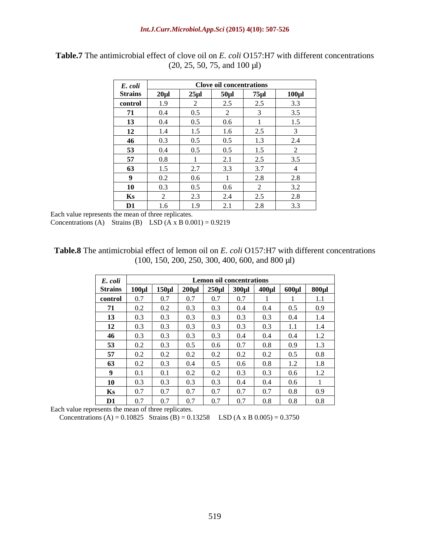| E. coli        |            |          | <b>Clove oil concentrations</b> |            |                                         |
|----------------|------------|----------|---------------------------------|------------|-----------------------------------------|
| <b>Strains</b> | $20 \mu$ l | $25 \mu$ | $50 \mu$ l                      | $75 \mu$ l | $100 \mu$                               |
| control        | 1.9        |          | 2.5                             | 2.5        | 3.3                                     |
| 71             | 0.4        | 0.5      |                                 |            | 3.5                                     |
| 13             | 0.4        | 0.5      | 0.6                             |            | $\sim$<br>$\mathsf{L}.\mathsf{L}$       |
| 12             | -1.4       | 1.5      | 1.6                             | 2.5        |                                         |
| 46             | 0.3        | 0.5      | 0.5                             | 1.3        | $\bigcap$ $\bigcap$<br>$\mathcal{L}$ .4 |
| 53             | 0.4        | 0.5      | 0.5                             | 1.5        |                                         |
| 57             | $0.8\,$    |          | $\gamma$ 1<br>$\sim$ 1          | 2.5        | 3.5                                     |
| 63             | ن ۱۰       | 2.7      | 3.3                             | 3.7        |                                         |
|                | 0.2        | 0.6      |                                 | 2.8        | 2.8                                     |
| 10             | 0.3        | 0.5      | $0.6\,$                         |            | 3.2                                     |
| Ks             |            | 2.3      | 2.4                             | 2.5        | 2.8                                     |
| D <sub>1</sub> | 1.6        | 1.9      | $\gamma$ 1                      | 2.8        | 3.3                                     |

**Table.7** The antimicrobial effect of clove oil on *E. coli* O157:H7 with different concentrations (20, 25, 50, 75, and 100 µl)

Each value represents the mean of three replicates.

Concentrations (A) Strains (B) LSD (A x B  $0.001$ ) = 0.9219

**Table.8** The antimicrobial effect of lemon oil on *E. coli* O157:H7 with different concentrations (100, 150, 200, 250, 300, 400, 600, and 800 µl)

| E. coli        |     |                           |                         |                 | Lemon oil concentrations   |             |                       |                                         |
|----------------|-----|---------------------------|-------------------------|-----------------|----------------------------|-------------|-----------------------|-----------------------------------------|
| <b>Strains</b> |     | $100 \mu l$   $150 \mu l$ | $200 \mu l$ 250 $\mu l$ |                 | $300 \mu$ l                | $400 \mu$ l | $600 \mu$ l           | $800 \mu l$                             |
| control        | 0.7 | 0.7                       | 0.7                     | 0.7             | $\sim$ $\sim$<br>U.7       |             |                       | $\cdot$ .                               |
| 71             | 0.2 | $0.2\,$                   | 0.3                     | 0.3             | 0.4                        | 0.4         | 0.5                   | 0.9                                     |
| 13             | 0.3 | 0.3                       | 0.3                     | $\Omega$<br>U.S | $\sim$ $\sim$<br>0.3       | 0.3         | 0.4                   |                                         |
| 12             | 0.3 | 0.3                       | 0.3                     | 0.3             | 0.3                        | 0.3         | 1.1                   | $1 \quad 4$<br>1.4                      |
| 46             | 0.3 | 0.3                       | 0.3                     | 0.3             | $\bigcap$ $\bigcap$<br>U.4 | 0.4         | $0.4^{\circ}$         | $\sim$<br>$\mathbf{L} \cdot \mathbf{L}$ |
| 53             | 0.2 | 0.3                       | 0.5                     | $0.6\,$         | 0.7                        | 0.8         | 0.9 <sub>o</sub>      | 1.2<br>1.5                              |
| 57             | 0.2 | $0.2\,$                   | 0.2                     | 0.2             | $0.2\,$                    | 0.2         | 0.5                   | $0.8\,$                                 |
| 63             | 0.2 | 0.3                       | 0.4                     | $0.5\,$         | 0.6                        | 0.8         | 1 <sub>2</sub><br>1.4 | $\cdot$ 0<br>$\cdot$ O                  |
|                | 0.1 | 0.1                       | $0.2\,$                 | $0.2\,$         | 0.3                        | 0.3         | $0.6\,$               | $\sim$<br>1.2                           |
| 10             | 0.3 | 0.3                       | 0.3                     | 0.3             | $\bigcap$ $\bigcap$<br>0.4 | 0.4         | 0.6                   |                                         |
| Ks             | 0.7 | 0.7                       | 0.7                     | 0.7             | 0.7                        | 0.7         | 0.8                   | 0.9                                     |
| D <sub>1</sub> | 0.7 | 0.7                       | 0.7                     | 0.7             | 0.7                        | 0.8         | 0.8                   | 0.8                                     |

Each value represents the mean of three replicates.

Concentrations (A) =  $0.10825$  Strains (B) =  $0.13258$  LSD (A x B 0.005) = 0.3750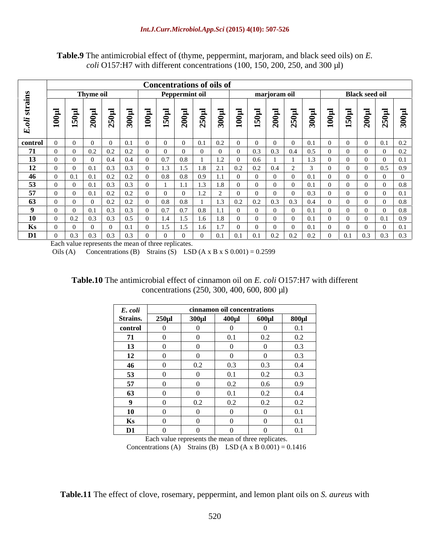**Table.9** The antimicrobial effect of (thyme, peppermint, marjoram, and black seed oils) on *E. coli* O157:H7 with different concentrations (100, 150, 200, 250, and 300 µl)

|                            |       |                                              |             |                |            |                         | <b>Concentrations of oils of</b>                    |                   |          |            |              |                  |             |                  |                           |                             |                           |
|----------------------------|-------|----------------------------------------------|-------------|----------------|------------|-------------------------|-----------------------------------------------------|-------------------|----------|------------|--------------|------------------|-------------|------------------|---------------------------|-----------------------------|---------------------------|
|                            |       | Thyme oil                                    |             |                |            | Peppermint oil          |                                                     |                   |          |            | marjoram oil |                  |             |                  | <b>Black seed oil</b>     |                             |                           |
| $\ddot{ }$<br>$\mathbf{E}$ | 100µl | 200 <sub>l</sub><br>$\mathbf{S}$<br>$\equiv$ | 0<br>$\sim$ | 300            | $\epsilon$ | 150 <sub>l</sub><br>200 | $250\mu$                                            | 0<br>$\mathbf{E}$ | $100\mu$ | 150        | 200µl        | 250 <sub>l</sub> | $300 \mu$ l | 100 <sub>l</sub> | 150µl<br>200 <sub>i</sub> | <b>S0µ1</b><br>$\mathbf{N}$ | $\Xi$<br>300 <sub>l</sub> |
| control                    |       |                                              |             |                |            |                         | 0.1                                                 | 0.2               |          |            |              |                  |             |                  |                           | 0.1                         | $0.2\,$                   |
| 71<br>$\mathbf{I}$         |       | 0.2                                          | 0.2         | 0.2            |            |                         |                                                     |                   |          | 0.3        | 0.3          | 0.4              |             |                  |                           |                             | $0.2\,$                   |
| 13                         |       |                                              | - 0.4       |                |            | 0.7<br>0.8              |                                                     |                   |          | 0.6        |              |                  |             |                  |                           |                             | 0.1                       |
| 12                         |       |                                              | 0.3         |                |            | $\sim$                  | 1.8                                                 | 2.1               | 0.2      | 0.2        | 0.4          |                  |             |                  |                           |                             | 0.9                       |
| 46                         |       |                                              | 0.2         | 0.2            |            | 0.8                     | 0.9                                                 |                   |          |            |              |                  |             |                  |                           |                             |                           |
| 53                         |       |                                              | 0.3         |                |            |                         |                                                     |                   |          |            |              |                  |             |                  |                           |                             | 0.8                       |
| 57                         |       |                                              | $\Omega$ .  | 0.2            |            |                         |                                                     |                   |          |            |              |                  |             |                  |                           |                             | 0.1                       |
| 63                         |       |                                              |             | 0.2            |            | 0.8                     |                                                     |                   | 0.2      | 0.2        |              | $\sim$ 0.3       |             |                  |                           |                             | 0.8                       |
|                            |       |                                              | $-0.3$      | 0.3            |            | 0.7<br>0.7              | $\begin{array}{c} \begin{array}{c} \end{array}$ 0.8 | 1.1               |          |            |              |                  |             |                  |                           |                             | 0.8                       |
| 10                         |       | 0.3                                          | 0.3         | 0.5            |            | 1.4                     | 1.6                                                 | -1.8              |          |            |              |                  |             |                  |                           |                             | 0.9                       |
| Ks                         |       |                                              |             |                |            | $\sim$                  |                                                     |                   |          |            |              |                  |             |                  |                           |                             | $^{\circ}$ 1              |
| D1                         |       | 0.3<br>0 <sup>3</sup>                        | 03          | 0 <sub>2</sub> |            |                         |                                                     | $\Omega$          | 0.1      | $\Omega$ . | 0.2          | 0.2              | $\bigcap$   |                  | $0.1$ 0.3 0.3             |                             | 0.3                       |

Each value represents the mean of three replicates.

Oils (A) Concentrations (B) Strains (S) LSD (A x B x S  $0.001$ ) = 0.2599

| <b>Table.10 7</b><br>$\cdots$<br>7.777<br>antimicrobial effect<br>. 0157:P<br>with different<br>$ct$ of cinnamon oil on $E$<br>ne<br>. |  |
|----------------------------------------------------------------------------------------------------------------------------------------|--|
| , 600, 800<br>400.<br>$\mu$ l)<br>-300<br>750 <sup>-</sup><br>concentrations (250                                                      |  |

| E. coli         |             |             | cinnamon oil concentrations |             |             |
|-----------------|-------------|-------------|-----------------------------|-------------|-------------|
| <b>Strains.</b> | $250 \mu$ l | $300 \mu l$ | $400 \mu$ l                 | $600 \mu l$ | $800 \mu l$ |
| control         |             |             |                             |             | 0.1         |
| 71              |             |             | 0.1                         | 0.2         | 0.2         |
| 13              |             |             |                             |             | 0.3         |
| 12              |             |             |                             |             | 0.3         |
| 46              |             | 0.2         | 0.3                         | 0.3         | 0.4         |
| 53              |             |             | 0.1                         | 0.2         | 0.3         |
| 57              |             |             | 0.2                         | 0.6         | 0.9         |
| 63              |             |             | 0.1                         | 0.2         | 0.4         |
|                 |             | 0.2         | 0.2                         | 0.2         | 0.2         |
| <b>10</b>       |             |             |                             |             | 0.1         |
| Ks              |             |             |                             |             | 0.1         |
| D <sub>1</sub>  |             |             |                             |             | 0.1         |

Each value represents the mean of three replicates. Concentrations (A) Strains (B) LSD (A x B  $0.001$ ) = 0.1416

**Table.11** The effect of clove, rosemary, peppermint, and lemon plant oils on *S. aureus* with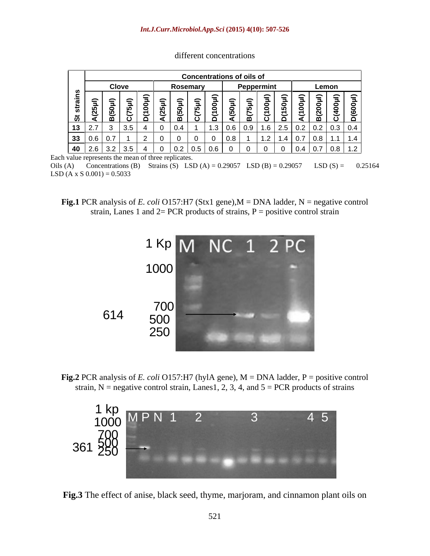|               |                            |                          |   |                 |                  |                   |    | <b>Concentrations of oils of</b> |   |            |             |             |                            |                   |                                             |                                                                         |
|---------------|----------------------------|--------------------------|---|-----------------|------------------|-------------------|----|----------------------------------|---|------------|-------------|-------------|----------------------------|-------------------|---------------------------------------------|-------------------------------------------------------------------------|
|               |                            | <b>Clove</b>             |   |                 |                  | Rosemary          |    |                                  |   | Peppermint |             |             |                            |                   | Lemon                                       |                                                                         |
| —<br>ທ<br>້ ຜ | $\boldsymbol{\mathcal{S}}$ | $\overline{\phantom{0}}$ | ີ | $\tilde{}$<br>o | $\check{ }$<br>◀ | മ                 | ്ധ | $\checkmark$                     | ະ | $\tilde{}$ | $\check{ }$ | $\check{ }$ | 0<br>$\tilde{\phantom{a}}$ | 0<br><u>. ம</u>   | $\bullet$                                   | $\Rightarrow$<br>$\bullet$<br>ල<br>$\ddot{\phantom{1}}$<br><u>ا ۱ ن</u> |
|               | $13 \mid 2.7$              | l 3.5                    |   |                 | $\sim$<br>J.     | 0.4               |    | $.3 \pm 0.6$                     |   |            |             |             |                            |                   | $1.6$   2.5   0.2   0.2   0.3   0.4 $\vert$ |                                                                         |
|               | 33   0.6                   | $\sim$ $\sim$            |   |                 |                  |                   |    | 0.8                              |   |            |             |             |                            | $0.7 \,   \, 0.8$ |                                             |                                                                         |
| $-40$         | Z.O                        | - 3.5                    |   |                 | $\sim$<br>∣∪     | $10.2$ $10.5$ $1$ |    |                                  |   |            |             |             |                            |                   |                                             | $\vert 0.4 \vert 0.7 \vert 0.8 \vert 1.2 \vert$                         |

different concentrations

Each value represents the mean of three replicates.

Oils (A) Concentrations (B) Strains (S) LSD (A) =  $0.29057$  LSD (B) =  $0.29057$  LSD (S) = 0.25164  $LSD(A \times S\ 0.001) = 0.5033$ 





**Fig.2** PCR analysis of *E. coli* O157:H7 (hylA gene), M = DNA ladder, P = positive control strain,  $N$  = negative control strain, Lanes1, 2, 3, 4, and  $5$  = PCR products of strains



**Fig.3** The effect of anise, black seed, thyme, marjoram, and cinnamon plant oils on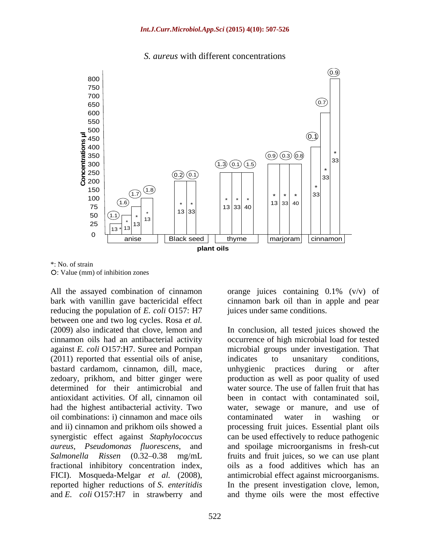#### *S. aureus* with different concentrations



\*: No. of strain : Value (mm) of inhibition zones

All the assayed combination of cinnamon orange juices containing 0.1% (v/v) of bark with vanillin gave bactericidal effect reducing the population of *E. coli* O157: H7 between one and two log cycles. Rosa *et al.* (2011) reported that essential oils of anise, indicates to unsanitary conditions, bastard cardamom, cinnamon, dill, mace, antioxidant activities. Of all, cinnamon oil oil combinations: i) cinnamon and mace oils contaminated water in washing or

cinnamon bark oil than in apple and pear juices under same conditions.

(2009) also indicated that clove, lemon and In conclusion, all tested juices showed the cinnamon oils had an antibacterial activity occurrence of high microbial load for tested against *E. coli* O157:H7. Suree and Pornpan microbial groups under investigation. That zedoary, prikhom, and bitter ginger were production as well as poor quality of used determined for their antimicrobial and water source. The use of fallen fruit that has had the highest antibacterial activity. Two water, sewage or manure, and use of and ii) cinnamon and prikhom oils showed a processing fruit juices. Essential plant oils synergistic effect against *Staphylococcus*  can be used effectively to reduce pathogenic *aureus*, *Pseudomonas fluorescens*, and and spoilage microorganisms in fresh-cut Salmonella Rissen (0.32–0.38 mg/mL fruits and fruit juices, so we can use plant fractional inhibitory concentration index, oils as a food additives which has an FICI). Mosqueda-Melgar *et al.* (2008), antimicrobial effect against microorganisms.<br>reported higher reductions of *S. enteritidis* In the present investigation clove, lemon, and *E. coli* O157:H7 in strawberry and and thyme oils were the most effective indicates to unsanitary conditions, unhygienic practices during or been in contact with contaminated soil, contaminated water in washing or antimicrobial effect against microorganisms. In the present investigation clove, lemon,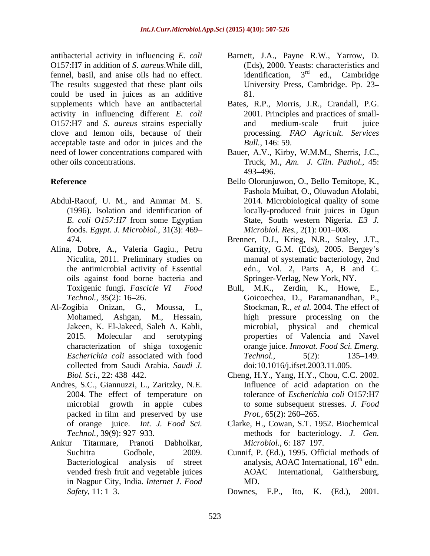antibacterial activity in influencing *E. coli* Barnett, J.A., Payne R.W., Yarrow, D. O157:H7 in addition of *S. aureus*. While dill, (Eds), 2000. Yeasts:<br>fennel, basil, and anise oils had no effect. identification. 3<sup>rd</sup> fennel, basil, and anise oils had no effect. identification,  $3<sup>rd</sup>$  ed., Cambridge The results suggested that these plant oils could be used in juices as an additive supplements which have an antibacterial Bates, R.P., Morris, J.R., Crandall, P.G. activity in influencing different *E. coli* O157:H7 and *S*. *aureus* strains especially clove and lemon oils, because of their processing. *FAO Agricult. Services* acceptable taste and odor in juices and the need of lower concentrations compared with Bauer, A.V., Kirby, W.M.M., Sherris, J.C., other oils concentrations. Truck, M., *Am. J. Clin. Pathol.,* 45:

- Abdul-Raouf, U. M., and Ammar M. S. foods. *Egypt. J. Microbiol.*, 31(3): 469
- Alina, Dobre, A., Valeria Gagiu., Petru oils against food borne bacteria and
- Jakeen, K. El-Jakeed, Saleh A. Kabli, collected from Saudi Arabia. *Saudi J.*
- Andres, S.C., Giannuzzi, L., Zaritzky, N.E. Influence of acid adaptation on the
- Ankur Titarmare, Pranoti Dabholkar, *Microbiol.*, 6:187–197. in Nagpur City, India. *Internet J. Food*
- (Eds), 2000. Yeasts: characteristics and identification,  $3^{rd}$  ed., Cambridge  $rd$  od Combridge ed., Cambridge University Press, Cambridge. Pp. 23 81.
- 2001. Principles and practices of small-and medium-scale fruit juice *Bull.*, 146: 59.
- 493 496.
- **Reference** Bello Olorunjuwon, O., Bello Temitope, K., (1996). Isolation and identification of locally-produced fruit juices in Ogun *E. coli O157:H7* from some Egyptian State, South western Nigeria. *E3 J.* Fashola Muibat, O., Oluwadun Afolabi, 2014. Microbiological quality of some *Microbiol. Res., 2(1): 001-008.* 
	- 474. Brenner, D.J., Krieg, N.R., Staley, J.T., Niculita, 2011. Preliminary studies on manual of systematic bacteriology, 2nd the antimicrobial activity of Essential edn., Vol. 2, Parts A, B and C. Garrity, G.M. (Eds), 2005. Bergey's Springer-Verlag, New York, NY.
- Toxigenic fungi. *Fascicle VI Food* Bull, M.K., Zerdin, K., Howe, E., *Technol.,* 35(2): 16 26. Goicoechea, D., Paramanandhan, P., Al-Zogibia Onizan, G., Moussa, I., Stockman, R., *et al.* 2004. The effect of Mohamed, Ashgan, M., Hessain, high pressure processing on the 2015. Molecular and serotyping properties of Valencia and Navel characterization of shiga toxogenic orange juice. *Innovat. Food Sci. Emerg. Escherichia coli* associated with food Bull, M.K., Zerdin, K., Howe, physical and chemical *Technol.,* 5(2): 135–149. doi:10.1016/j.ifset.2003.11.005.
	- *Biol. Sci.,* 22: 438–442. Cheng, H.Y., Yang, H.Y., Chou, C.C. 2002. 2004. The effect of temperature on tolerance of *Escherichia coli* O157:H7 microbial growth in apple cubes to some subsequent stresses. *J. Food* packed in film and preserved by use *Prot.*, 65(2): 260–265. Cheng, H.Y., Yang, H.Y., Chou, C.C. 2002. Influence of acid adaptation on the *Prot.*, 65(2): 260–265.
	- of orange juice. *Int. J. Food Sci.* Clarke, H., Cowan, S.T. 1952. Biochemical *Technol.,* 39(9): 927 933. methods for bacteriology. *J. Gen. Microbiol.,* 6: 187–197.
	- Suchitra Godbole, 2009. Cunnif, P. (Ed.), 1995. Official methods of Bacteriological analysis of street analysis, AOAC International, 16<sup>th</sup> edn. vended fresh fruit and vegetable juices  $AOAC$  International, Gaithersburg,  $th$   $odn$ edn. AOAC International, Gaithersburg, MD.
	- *Safety*, 11: 1–3. **Downes**, F.P., Ito, K. (Ed.), 2001.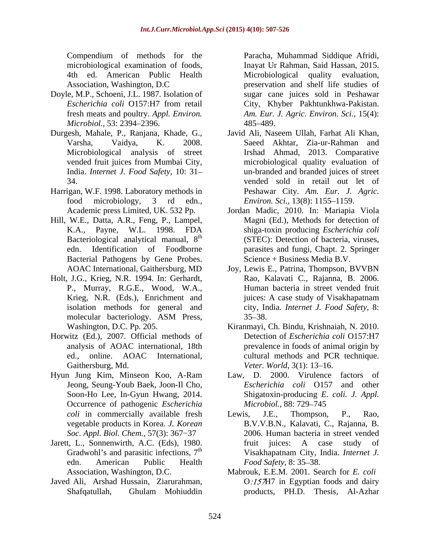- Doyle, M.P., Schoeni, J.L. 1987*.* Isolation of *Microbiol.,* 53: 2394–2396. 485–489.
- Durgesh, Mahale, P., Ranjana, Khade, G.,
- Harrigan, W.F. 1998. Laboratory methods in
- Hill, W.E., Datta, A.R., Feng, P., Lampel, Bacteriological analytical manual, 8<sup>th</sup> Bacterial Pathogens by Gene Probes.
- Holt, J.G., Krieg, N.R. 1994. In: Gerhardt, P., Murray, R.G.E., Wood, W.A., isolation methods for general and
- Horwitz (Ed.), 2007. Official methods of Gaithersburg, Md. Veter. World, 3(1): 13-16.
- Hyun Jung Kim, Minseon Koo, A-Ram Jeong, Seung-Youb Baek, Joon-Il Cho, Occurrence of pathogenic *Escherichia Soc. Appl. Biol. Chem., 57(3): 367-37*
- 
- Javed Ali, Arshad Hussain, Ziarurahman,

Compendium of methods for the Paracha, Muhammad Siddique Afridi, microbiological examination of foods, Inayat Ur Rahman, Said Hassan, 2015. 4th ed. American Public Health Microbiological quality evaluation, Association, Washington, D.C preservation and shelf life studies of *Escherichia coli* O157:H7 from retail fresh meats and poultry. *Appl. Environ. Am. Eur. J. Agric. Environ. Sci.,* 15(4): sugar cane juices sold in Peshawar City, Khyber Pakhtunkhwa-Pakistan. 485 489.

- Varsha, Vaidya, K. 2008. Saeed Akhtar, Zia-ur-Rahman and Microbiological analysis of street Irshad Ahmad, 2013. Comparative vended fruit juices from Mumbai City, microbiological quality evaluation of India. *Internet J. Food Safety,* 10: 31 un-branded and branded juices of street 34. vended sold in retail out let of food microbiology, 3 rd edn., *Environ. Sci.,* 13(8): 1155 1159. Javid Ali, Naseem Ullah, Farhat Ali Khan, Peshawar City. *Am. Eur. J. Agric.*
- Academic press Limited, UK. 532 Pp. Jordan Madic, 2010. In: Mariapia Viola K.A., Payne, W.L. 1998. FDA shiga-toxin producing *Escherichia coli* th (STEC): Detection of bacteria, viruses, edn. Identification of Foodborne parasites and fungi, Chapt. 2. Springer Magni (Ed.), Methods for detection of Science + Business Media B.V.
- AOAC International, Gaithersburg, MD Joy, Lewis E., Patrina, Thompson, BVVBN Krieg, N.R. (Eds.), Enrichment and *inices: A case study of Visakhapatnam* molecular bacteriology. ASM Press,  $35-38$ . Rao, Kalavati C., Rajanna, B. 2006. Human bacteria in street vended fruit juices: A case study of Visakhapatnam city, India. *Internet J. Food Safety,* 8:  $35 - 38.$
- Washington, D.C. Pp. 205. Kiranmayi, Ch. Bindu, Krishnaiah, N. 2010. analysis of AOAC international, 18th prevalence in foods of animal origin by ed., online. AOAC International, cultural methods and PCR technique. Detection of *Escherichia coli* O157:H7 *Veter. World,* 3(1): 13–16.
- Soon-Ho Lee, In-Gyun Hwang, 2014. Shigatoxin-producing *E. coli. J. Appl.* Law, D. 2000. Virulence factors of *Escherichia coli* O157 and other *Microbiol.,* 88: 729–745
- *coli* in commercially available fresh Lewis, J.E., Thompson, P., Rao, vegetable products in Korea. *J. Korean* B.V.V.B.N., Kalavati, C., Rajanna, B. Jarett, L., Sonnenwirth, A.C. (Eds), 1980. fruit juices: A case study of Gradwohl's and parasitic infections, 7<sup>th</sup> Visakhapatnam City, India. *Internet J*. Gradwohl's and parasitic infections,  $7<sup>th</sup>$  Visakhapatnam City, India. Internet J. edn. American Public Health *Food Safety*, 8:35–38. Lewis, J.E., Thompson, P., Rao, 2006. Human bacteria in street vended fruit juices: A case study of Visakhapatnam City, India. *Internet J. Food Safety, 8: 35–38.* 
	- Association, Washington, D.C. Mabrouk, E.E.M. 2001. Search for *E. coli* Shafqatullah, Ghulam Mohiuddin  $O:157H7$  in Egyptian foods and dairy products, PH.D. Thesis, Al-Azhar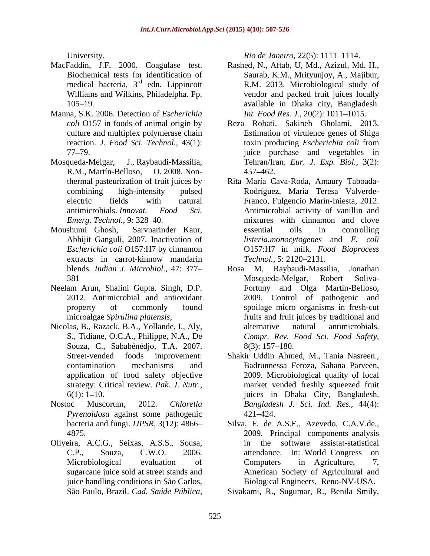- MacFaddin, J.F. 2000. Coagulase test. medical bacteria,  $3<sup>rd</sup>$  edn. Lippincott
- Manna, S.K. 2006. Detection of *Escherichia*
- R.M., Martín-Belloso, O. 2008. Non-
- Moushumi Ghosh, Sarvnarinder Kaur, extracts in carrot-kinnow mandarin *Technol.*, 5: 2120–2131.
- Neelam Arun, Shalini Gupta, Singh, D.P.
- S., Tidiane, O.C.A., Philippe, N.A., De Souza, C., Sababénédjo, T.A. 2007. strategy: Critical review. *Pak. J. Nutr.,*
- *Pyrenoidosa* against some pathogenic bacteria and fungi. *IJPSR,* 3(12): 4866
- Oliveira, A.C.G., Seixas, A.S.S., Sousa, sugarcane juice sold at street stands and juice handling conditions in São Carlos,

University.

- Biochemical tests for identification of Saurab, K.M., Mrityunjoy, A., Majibur, <sup>rd</sup> edn. Lippincott **R.M. 2013. Microbiological study of** Williams and Wilkins, Philadelpha. Pp. vendor and packed fruit juices locally 105 19. available in Dhaka city, Bangladesh. Rashed, N., Aftab, U, Md., Azizul, Md. H., *Int. Food Res. J., 20(2): 1011-1015.*
- *coli* O157 in foods of animal origin by Reza Robati, Sakineh Gholami, 2013. culture and multiplex polymerase chain Estimation of virulence genes of Shiga reaction. *J. Food Sci. Technol.,* 43(1): 77 79. juice purchase and vegetables in Mosqueda-Melgar, J., Raybaudi-Massilia, Tehran/Iran. *Eur. J. Exp. Biol.,* 3(2): toxin producing *Escherichia coli* from 457 462.
- thermal pasteurization of fruit juices by Rita María Cava-Roda, Amaury Taboada combining high-intensity pulsed Rodríguez, María Teresa Valverde electric fields with natural Franco, Fulgencio Marín-Iniesta, 2012. antimicrobials. *Innovat. Food Sci.* Antimicrobial activity of vanillin and *Emerg. Technol.*, 9: 328–40. mixtures with cinnamon and clove Abhijit Ganguli, 2007. Inactivation of *listeria.monocytogenes* and *E. coli Escherichia coli* O157:H7 by cinnamon O157:H7 in milk. *Food Bioprocess* Foreigns 11, 2000. Congulate test. **Exhibition** 12, 2001. This and the simulate test in the simulate test for the simulate test in Simblica and Value and Paulo and Paulo and Paulo and Paulo and Paulo and Paulo and Paulo an essential oils in controlling *Technol.,* 5: 2120–2131.
- blends. *Indian J. Microbiol.,* 47: 377 381 Mosqueda-Melgar, Robert Soliva-2012. Antimicrobial and antioxidant 2009. Control of pathogenic and property of commonly found spoilage micro organisms in fresh-cut microalgae *Spirulina platensis*, fruits and fruit juices by traditional and Nicolas, B., Razack, B.A., Yollande, I., Aly, alternative natural antimicrobials. Rosa M. Raybaudi-Massilia, Jonathan Mosqueda-Melgar, Robert Soliva- Fortuny and Olga Martín-Belloso, fruits and fruit juices by traditional and alternative natural antimicrobials. *Compr. Rev. Food Sci. Food Safety,* 8(3): 157 180.
- Street-vended foods improvement: Shakir Uddin Ahmed, M., Tania Nasreen., contamination mechanisms and Badrunnessa Feroza, Sahana Parveen, application of food safety objective 2009. Microbiological quality of local 6(1): 1 10. juices in Dhaka City, Bangladesh. Nostoc Muscorum, 2012. *Chlorella Bangladesh J. Sci. Ind. Res.,* 44(4): market vended freshly squeezed fruit 421 424.
	- 4875. 2009. Principal components analysis C.P., Souza, C.W.O. 2006. attendance. In: World Congress on Microbiological evaluation of Computers in Agriculture, 7, Silva, F. de A.S.E., Azevedo, C.A.V.de., in the software assistat-statistical Computers in Agriculture, 7, American Society of Agricultural and Biological Engineers, Reno-NV-USA.

Sivakami, R., Sugumar, R., Benila Smily,